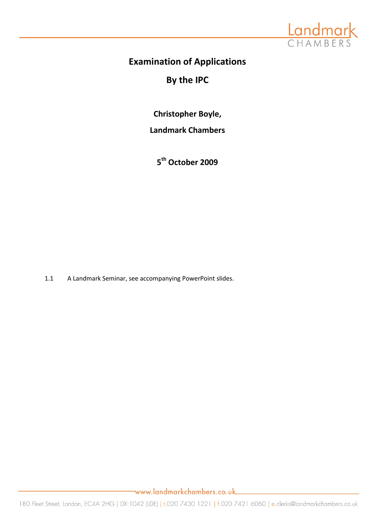

# **Examination of Applications**

# **By the IPC**

**Christopher Boyle,**

**Landmark Chambers**

**5 th October 2009** 

1.1 A Landmark Seminar, see accompanying PowerPoint slides.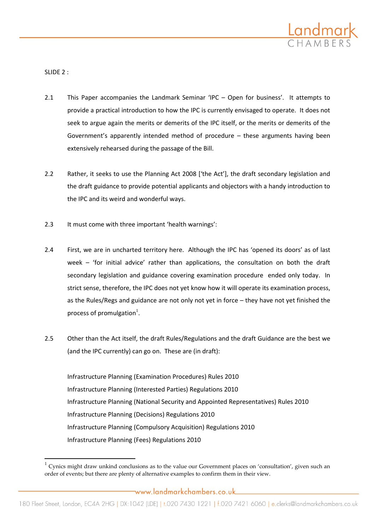

SLIDE 2 :

 $\overline{a}$ 

- 2.1 This Paper accompanies the Landmark Seminar 'IPC Open for business'. It attempts to provide a practical introduction to how the IPC is currently envisaged to operate. It does not seek to argue again the merits or demerits of the IPC itself, or the merits or demerits of the Government's apparently intended method of procedure – these arguments having been extensively rehearsed during the passage of the Bill.
- 2.2 Rather, it seeks to use the Planning Act 2008 ['the Act'], the draft secondary legislation and the draft guidance to provide potential applicants and objectors with a handy introduction to the IPC and its weird and wonderful ways.
- 2.3 It must come with three important 'health warnings':
- 2.4 First, we are in uncharted territory here. Although the IPC has 'opened its doors' as of last week – 'for initial advice' rather than applications, the consultation on both the draft secondary legislation and guidance covering examination procedure ended only today. In strict sense, therefore, the IPC does not yet know how it will operate its examination process, as the Rules/Regs and guidance are not only not yet in force – they have not yet finished the process of promulgation<sup>1</sup>.
- 2.5 Other than the Act itself, the draft Rules/Regulations and the draft Guidance are the best we (and the IPC currently) can go on. These are (in draft):

Infrastructure Planning (Examination Procedures) Rules 2010 Infrastructure Planning (Interested Parties) Regulations 2010 Infrastructure Planning (National Security and Appointed Representatives) Rules 2010 Infrastructure Planning (Decisions) Regulations 2010 Infrastructure Planning (Compulsory Acquisition) Regulations 2010 Infrastructure Planning (Fees) Regulations 2010

 $1$  Cynics might draw unkind conclusions as to the value our Government places on 'consultation', given such an order of events; but there are plenty of alternative examples to confirm them in their view.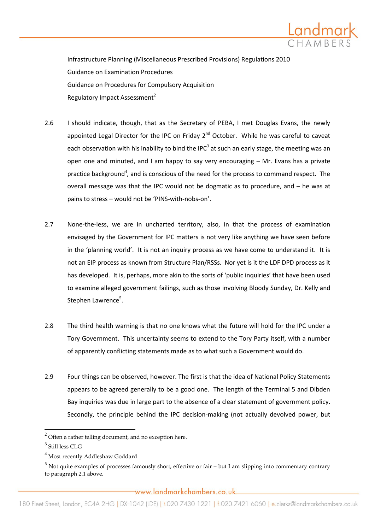

Infrastructure Planning (Miscellaneous Prescribed Provisions) Regulations 2010 Guidance on Examination Procedures Guidance on Procedures for Compulsory Acquisition Regulatory Impact Assessment<sup>2</sup>

- 2.6 I should indicate, though, that as the Secretary of PEBA, I met Douglas Evans, the newly appointed Legal Director for the IPC on Friday  $2^{nd}$  October. While he was careful to caveat each observation with his inability to bind the IPC<sup>3</sup> at such an early stage, the meeting was an open one and minuted, and I am happy to say very encouraging – Mr. Evans has a private practice background<sup>4</sup>, and is conscious of the need for the process to command respect. The overall message was that the IPC would not be dogmatic as to procedure, and – he was at pains to stress – would not be 'PINS-with-nobs-on'.
- 2.7 None-the-less, we are in uncharted territory, also, in that the process of examination envisaged by the Government for IPC matters is not very like anything we have seen before in the 'planning world'. It is not an inquiry process as we have come to understand it. It is not an EIP process as known from Structure Plan/RSSs. Nor yet is it the LDF DPD process as it has developed. It is, perhaps, more akin to the sorts of 'public inquiries' that have been used to examine alleged government failings, such as those involving Bloody Sunday, Dr. Kelly and Stephen Lawrence<sup>5</sup>.
- 2.8 The third health warning is that no one knows what the future will hold for the IPC under a Tory Government. This uncertainty seems to extend to the Tory Party itself, with a number of apparently conflicting statements made as to what such a Government would do.
- 2.9 Four things can be observed, however. The first is that the idea of National Policy Statements appears to be agreed generally to be a good one. The length of the Terminal 5 and Dibden Bay inquiries was due in large part to the absence of a clear statement of government policy. Secondly, the principle behind the IPC decision-making (not actually devolved power, but

 $\overline{a}$ 

 $2$  Often a rather telling document, and no exception here.

<sup>3</sup> Still less CLG

<sup>4</sup> Most recently Addleshaw Goddard

 $<sup>5</sup>$  Not quite examples of processes famously short, effective or fair – but I am slipping into commentary contrary</sup> to paragraph 2.1 above.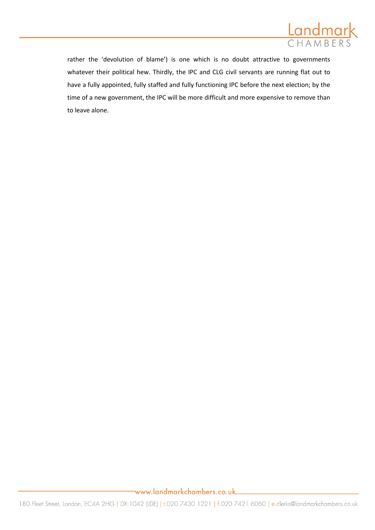

rather the 'devolution of blame') is one which is no doubt attractive to governments whatever their political hew. Thirdly, the IPC and CLG civil servants are running flat out to have a fully appointed, fully staffed and fully functioning IPC before the next election; by the time of a new government, the IPC will be more difficult and more expensive to remove than to leave alone.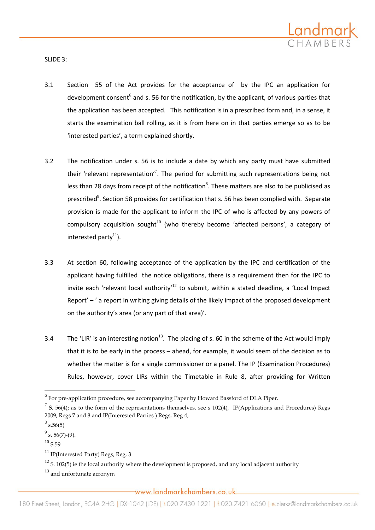

SLIDE 3:

- 3.1 Section 55 of the Act provides for the acceptance of by the IPC an application for development consent<sup>6</sup> and s. 56 for the notification, by the applicant, of various parties that the application has been accepted. This notification is in a prescribed form and, in a sense, it starts the examination ball rolling, as it is from here on in that parties emerge so as to be 'interested parties', a term explained shortly.
- 3.2 The notification under s. 56 is to include a date by which any party must have submitted their 'relevant representation'<sup>7</sup>. The period for submitting such representations being not less than 28 days from receipt of the notification<sup>8</sup>. These matters are also to be publicised as prescribed<sup>9</sup>. Section 58 provides for certification that s. 56 has been complied with. Separate provision is made for the applicant to inform the IPC of who is affected by any powers of compulsory acquisition sought<sup>10</sup> (who thereby become 'affected persons', a category of interested party $^{11}$ ).
- 3.3 At section 60, following acceptance of the application by the IPC and certification of the applicant having fulfilled the notice obligations, there is a requirement then for the IPC to invite each 'relevant local authority'<sup>12</sup> to submit, within a stated deadline, a 'Local Impact Report' – ' a report in writing giving details of the likely impact of the proposed development on the authority's area (or any part of that area)'.
- 3.4 The 'LIR' is an interesting notion<sup>13</sup>. The placing of s. 60 in the scheme of the Act would imply that it is to be early in the process – ahead, for example, it would seem of the decision as to whether the matter is for a single commissioner or a panel. The IP (Examination Procedures) Rules, however, cover LIRs within the Timetable in Rule 8, after providing for Written

<sup>&</sup>lt;sup>6</sup><br>For pre-application procedure, see accompanying Paper by Howard Bassford of DLA Piper.

<sup>&</sup>lt;sup>7</sup> S. 56(4); as to the form of the representations themselves, see s 102(4), IP(Applications and Procedures) Regs 2009, Regs 7 and 8 and IP(Interested Parties ) Regs, Reg 4;

 $^8$  s.56(5)

 $9^9$  s. 56(7)-(9).

 $10$  S.59

 $11$  IP(Interested Party) Regs, Reg. 3

 $12$  S. 102(5) ie the local authority where the development is proposed, and any local adjacent authority

 $13$  and unfortunate acronym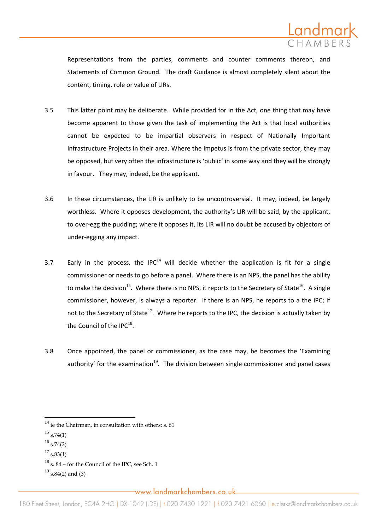

Representations from the parties, comments and counter comments thereon, and Statements of Common Ground. The draft Guidance is almost completely silent about the content, timing, role or value of LIRs.

- 3.5 This latter point may be deliberate. While provided for in the Act, one thing that may have become apparent to those given the task of implementing the Act is that local authorities cannot be expected to be impartial observers in respect of Nationally Important Infrastructure Projects in their area. Where the impetus is from the private sector, they may be opposed, but very often the infrastructure is 'public' in some way and they will be strongly in favour. They may, indeed, be the applicant.
- 3.6 In these circumstances, the LIR is unlikely to be uncontroversial. It may, indeed, be largely worthless. Where it opposes development, the authority's LIR will be said, by the applicant, to over-egg the pudding; where it opposes it, its LIR will no doubt be accused by objectors of under-egging any impact.
- 3.7 Early in the process, the IPC $^{14}$  will decide whether the application is fit for a single commissioner or needs to go before a panel. Where there is an NPS, the panel has the ability to make the decision<sup>15</sup>. Where there is no NPS, it reports to the Secretary of State<sup>16</sup>. A single commissioner, however, is always a reporter. If there is an NPS, he reports to a the IPC; if not to the Secretary of State<sup>17</sup>. Where he reports to the IPC, the decision is actually taken by the Council of the IPC $^{18}$ .
- 3.8 Once appointed, the panel or commissioner, as the case may, be becomes the 'Examining authority' for the examination<sup>19</sup>. The division between single commissioner and panel cases

 $14$  ie the Chairman, in consultation with others: s. 61

 $15$  s.74(1)

 $^{16}$  s.74(2)

 $^{17}$  s.83(1)

 $18$  s. 84 – for the Council of the IPC, see Sch. 1

 $^{19}$  s.84(2) and (3)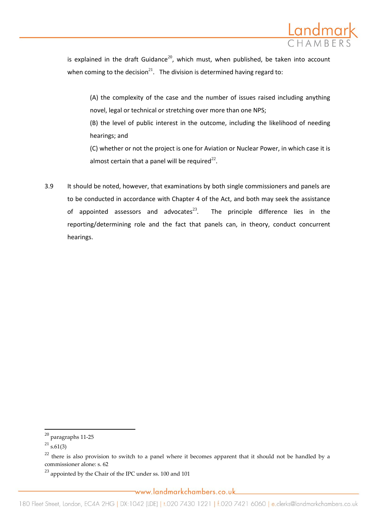

is explained in the draft Guidance<sup>20</sup>, which must, when published, be taken into account when coming to the decision<sup>21</sup>. The division is determined having regard to:

(A) the complexity of the case and the number of issues raised including anything novel, legal or technical or stretching over more than one NPS;

(B) the level of public interest in the outcome, including the likelihood of needing hearings; and

(C) whether or not the project is one for Aviation or Nuclear Power, in which case it is almost certain that a panel will be required $^{22}$ .

3.9 It should be noted, however, that examinations by both single commissioners and panels are to be conducted in accordance with Chapter 4 of the Act, and both may seek the assistance of appointed assessors and advocates $^{23}$ . The principle difference lies in the reporting/determining role and the fact that panels can, in theory, conduct concurrent hearings.

 $\overline{a}$ 

 $^{23}$  appointed by the Chair of the IPC under ss. 100 and 101

 $^{20}$  paragraphs 11-25

 $^{21}$  s.61(3)

 $22$  there is also provision to switch to a panel where it becomes apparent that it should not be handled by a commissioner alone: s. 62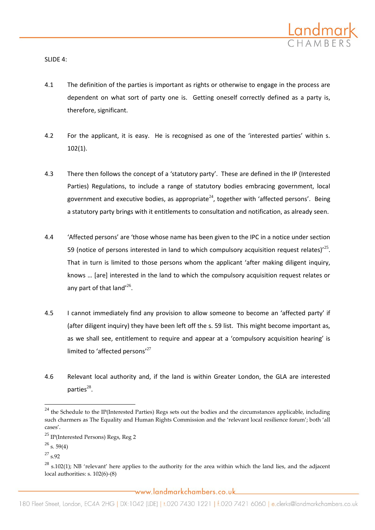

SLIDE 4:

- 4.1 The definition of the parties is important as rights or otherwise to engage in the process are dependent on what sort of party one is. Getting oneself correctly defined as a party is, therefore, significant.
- 4.2 For the applicant, it is easy. He is recognised as one of the 'interested parties' within s. 102(1).
- 4.3 There then follows the concept of a 'statutory party'. These are defined in the IP (Interested Parties) Regulations, to include a range of statutory bodies embracing government, local government and executive bodies, as appropriate<sup>24</sup>, together with 'affected persons'. Being a statutory party brings with it entitlements to consultation and notification, as already seen.
- 4.4 'Affected persons' are 'those whose name has been given to the IPC in a notice under section 59 (notice of persons interested in land to which compulsory acquisition request relates)<sup> $25$ </sup>. That in turn is limited to those persons whom the applicant 'after making diligent inquiry, knows ... [are] interested in the land to which the compulsory acquisition request relates or any part of that land $^{\prime 26}$ .
- 4.5 I cannot immediately find any provision to allow someone to become an 'affected party' if (after diligent inquiry) they have been left off the s. 59 list. This might become important as, as we shall see, entitlement to require and appear at a 'compulsory acquisition hearing' is limited to 'affected persons'<sup>27</sup>
- 4.6 Relevant local authority and, if the land is within Greater London, the GLA are interested parties $^{28}$ .

 $\overline{a}$ 

 $^{24}$  the Schedule to the IP(Interested Parties) Regs sets out the bodies and the circumstances applicable, including such charmers as The Equality and Human Rights Commission and the 'relevant local resilience forum'; both 'all cases'.

<sup>25</sup> IP(Interested Persons) Regs, Reg 2

 $^{26}$  s. 59(4)

<sup>27</sup> s.92

 $^{28}$  s.102(1); NB 'relevant' here applies to the authority for the area within which the land lies, and the adjacent local authorities: s. 102(6)-(8)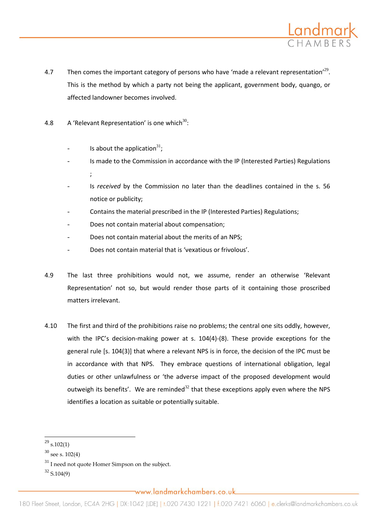

- 4.7 Then comes the important category of persons who have 'made a relevant representation'<sup>29</sup>. This is the method by which a party not being the applicant, government body, quango, or affected landowner becomes involved.
- 4.8  $\,$  A 'Relevant Representation' is one which<sup>30</sup>:
	- $\blacksquare$  Is about the application<sup>31</sup>;
	- Is made to the Commission in accordance with the IP (Interested Parties) Regulations ;
	- Is *received* by the Commission no later than the deadlines contained in the s. 56 notice or publicity;
	- Contains the material prescribed in the IP (Interested Parties) Regulations;
	- Does not contain material about compensation:
	- Does not contain material about the merits of an NPS;
	- Does not contain material that is 'vexatious or frivolous'.
- 4.9 The last three prohibitions would not, we assume, render an otherwise 'Relevant Representation' not so, but would render those parts of it containing those proscribed matters irrelevant.
- 4.10 The first and third of the prohibitions raise no problems; the central one sits oddly, however, with the IPC's decision-making power at s. 104(4)-(8). These provide exceptions for the general rule [s. 104(3)] that where a relevant NPS is in force, the decision of the IPC must be in accordance with that NPS. They embrace questions of international obligation, legal duties or other unlawfulness or 'the adverse impact of the proposed development would outweigh its benefits'. We are reminded<sup>32</sup> that these exceptions apply even where the NPS identifies a location as suitable or potentially suitable.

 $\overline{\phantom{a}}$ 

 $32$  S.104(9)

 $^{29}$  s.102(1)

 $30$  see s. 102(4)

 $31$  I need not quote Homer Simpson on the subject.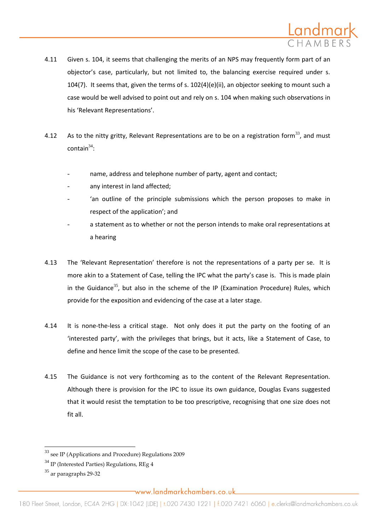

- 4.11 Given s. 104, it seems that challenging the merits of an NPS may frequently form part of an objector's case, particularly, but not limited to, the balancing exercise required under s. 104(7). It seems that, given the terms of s. 102(4)(e)(ii), an objector seeking to mount such a case would be well advised to point out and rely on s. 104 when making such observations in his 'Relevant Representations'.
- 4.12 As to the nitty gritty, Relevant Representations are to be on a registration form<sup>33</sup>, and must  $\text{contain}^{34}$ :
	- name, address and telephone number of party, agent and contact;
	- any interest in land affected;
	- 'an outline of the principle submissions which the person proposes to make in respect of the application'; and
	- a statement as to whether or not the person intends to make oral representations at a hearing
- 4.13 The 'Relevant Representation' therefore is not the representations of a party per se. It is more akin to a Statement of Case, telling the IPC what the party's case is. This is made plain in the Guidance<sup>35</sup>, but also in the scheme of the IP (Examination Procedure) Rules, which provide for the exposition and evidencing of the case at a later stage.
- 4.14 It is none-the-less a critical stage. Not only does it put the party on the footing of an 'interested party', with the privileges that brings, but it acts, like a Statement of Case, to define and hence limit the scope of the case to be presented.
- 4.15 The Guidance is not very forthcoming as to the content of the Relevant Representation. Although there is provision for the IPC to issue its own guidance, Douglas Evans suggested that it would resist the temptation to be too prescriptive, recognising that one size does not fit all.

 $33$  see IP (Applications and Procedure) Regulations 2009

 $34$  IP (Interested Parties) Regulations, REg 4

<sup>35</sup> ar paragraphs 29-32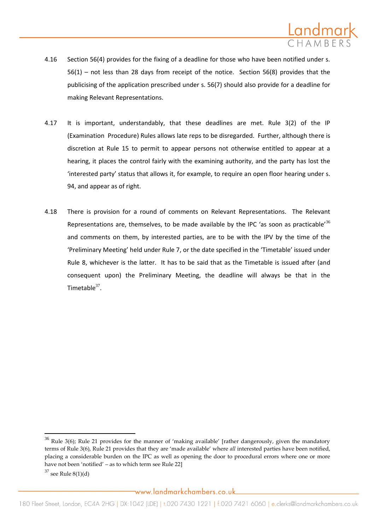

- 4.16 Section 56(4) provides for the fixing of a deadline for those who have been notified under s. 56(1) – not less than 28 days from receipt of the notice. Section 56(8) provides that the publicising of the application prescribed under s. 56(7) should also provide for a deadline for making Relevant Representations.
- 4.17 It is important, understandably, that these deadlines are met. Rule 3(2) of the IP (Examination Procedure) Rules allows late reps to be disregarded. Further, although there is discretion at Rule 15 to permit to appear persons not otherwise entitled to appear at a hearing, it places the control fairly with the examining authority, and the party has lost the 'interested party' status that allows it, for example, to require an open floor hearing under s. 94, and appear as of right.
- 4.18 There is provision for a round of comments on Relevant Representations. The Relevant Representations are, themselves, to be made available by the IPC 'as soon as practicable'<sup>36</sup> and comments on them, by interested parties, are to be with the IPV by the time of the 'Preliminary Meeting' held under Rule 7, or the date specified in the 'Timetable' issued under Rule 8, whichever is the latter. It has to be said that as the Timetable is issued after (and consequent upon) the Preliminary Meeting, the deadline will always be that in the Timetable $37$ .

 $36$  Rule 3(6); Rule 21 provides for the manner of 'making available' [rather dangerously, given the mandatory terms of Rule 3(6), Rule 21 provides that they are 'made available' where *all* interested parties have been notified, placing a considerable burden on the IPC as well as opening the door to procedural errors where one or more have not been 'notified' – as to which term see Rule 22]

 $37$  see Rule  $8(1)(d)$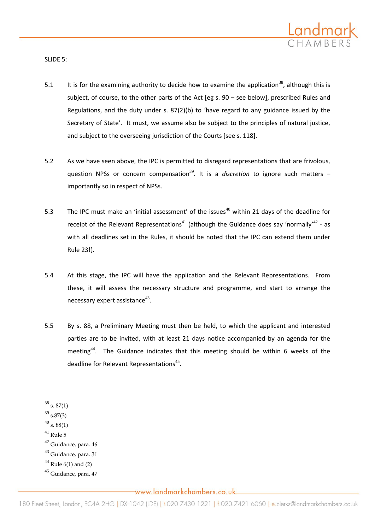

SLIDE 5:

- 5.1 It is for the examining authority to decide how to examine the application<sup>38</sup>, although this is subject, of course, to the other parts of the Act [eg s. 90 – see below], prescribed Rules and Regulations, and the duty under s. 87(2)(b) to 'have regard to any guidance issued by the Secretary of State'. It must, we assume also be subject to the principles of natural justice, and subject to the overseeing jurisdiction of the Courts [see s. 118].
- 5.2 As we have seen above, the IPC is permitted to disregard representations that are frivolous, question NPSs or concern compensation<sup>39</sup>. It is a *discretion* to ignore such matters  $$ importantly so in respect of NPSs.
- 5.3 The IPC must make an 'initial assessment' of the issues<sup>40</sup> within 21 days of the deadline for receipt of the Relevant Representations<sup>41</sup> (although the Guidance does say 'normally'<sup>42</sup> - as with all deadlines set in the Rules, it should be noted that the IPC can extend them under Rule 23!).
- 5.4 At this stage, the IPC will have the application and the Relevant Representations. From these, it will assess the necessary structure and programme, and start to arrange the necessary expert assistance $43$ .
- 5.5 By s. 88, a Preliminary Meeting must then be held, to which the applicant and interested parties are to be invited, with at least 21 days notice accompanied by an agenda for the meeting<sup>44</sup>. The Guidance indicates that this meeting should be within 6 weeks of the deadline for Relevant Representations $45$ .

- $^{\rm 41}$  Rule 5
- <sup>42</sup> Guidance, para. 46
- <sup>43</sup> Guidance, para. 31
- $44$  Rule 6(1) and (2)
- <sup>45</sup> Guidance, para. 47

 $\overline{a}$  $38$  s.  $87(1)$ 

 $39$  s.87(3)

 $^{40}$  s. 88(1)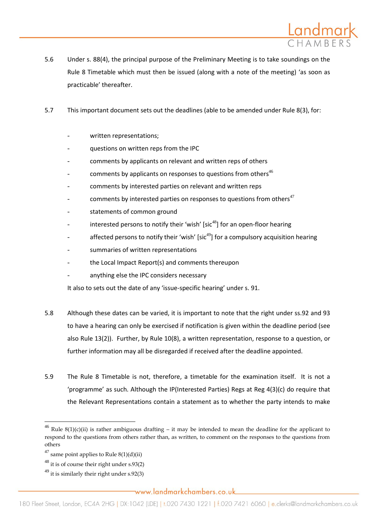

- 5.6 Under s. 88(4), the principal purpose of the Preliminary Meeting is to take soundings on the Rule 8 Timetable which must then be issued (along with a note of the meeting) 'as soon as practicable' thereafter.
- 5.7 This important document sets out the deadlines (able to be amended under Rule 8(3), for:
	- written representations;
	- questions on written reps from the IPC
	- comments by applicants on relevant and written reps of others
	- comments by applicants on responses to questions from others $46$
	- comments by interested parties on relevant and written reps
	- comments by interested parties on responses to questions from others<sup>47</sup>
	- statements of common ground
	- interested persons to notify their 'wish'  $\text{Isic}^{48}$ ] for an open-floor hearing
	- affected persons to notify their 'wish' [sic<sup>49</sup>] for a compulsory acquisition hearing
	- summaries of written representations
	- the Local Impact Report(s) and comments thereupon
	- anything else the IPC considers necessary

It also to sets out the date of any 'issue-specific hearing' under s. 91.

- 5.8 Although these dates can be varied, it is important to note that the right under ss.92 and 93 to have a hearing can only be exercised if notification is given within the deadline period (see also Rule 13(2)). Further, by Rule 10(8), a written representation, response to a question, or further information may all be disregarded if received after the deadline appointed.
- 5.9 The Rule 8 Timetable is not, therefore, a timetable for the examination itself. It is not a 'programme' as such. Although the IP(Interested Parties) Regs at Reg 4(3)(c) do require that the Relevant Representations contain a statement as to whether the party intends to make

 $\overline{\phantom{a}}$ 

<sup>&</sup>lt;sup>46</sup> Rule 8(1)(c)(ii) is rather ambiguous drafting – it may be intended to mean the deadline for the applicant to respond to the questions from others rather than, as written, to comment on the responses to the questions from others

 $47$  same point applies to Rule  $8(1)(d)(ii)$ 

 $48$  it is of course their right under s.93(2)

 $^{49}$  it is similarly their right under s.92(3)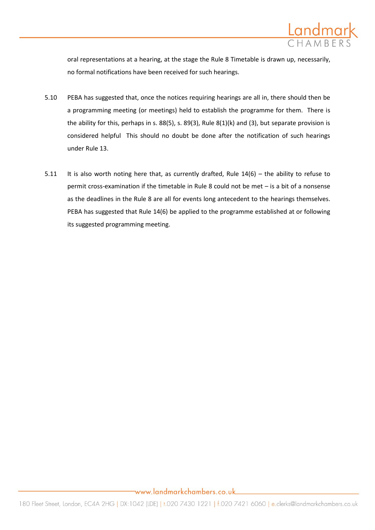

oral representations at a hearing, at the stage the Rule 8 Timetable is drawn up, necessarily, no formal notifications have been received for such hearings.

- 5.10 PEBA has suggested that, once the notices requiring hearings are all in, there should then be a programming meeting (or meetings) held to establish the programme for them. There is the ability for this, perhaps in s. 88(5), s. 89(3), Rule 8(1)(k) and (3), but separate provision is considered helpful This should no doubt be done after the notification of such hearings under Rule 13.
- 5.11 It is also worth noting here that, as currently drafted, Rule  $14(6)$  the ability to refuse to permit cross-examination if the timetable in Rule 8 could not be met – is a bit of a nonsense as the deadlines in the Rule 8 are all for events long antecedent to the hearings themselves. PEBA has suggested that Rule 14(6) be applied to the programme established at or following its suggested programming meeting.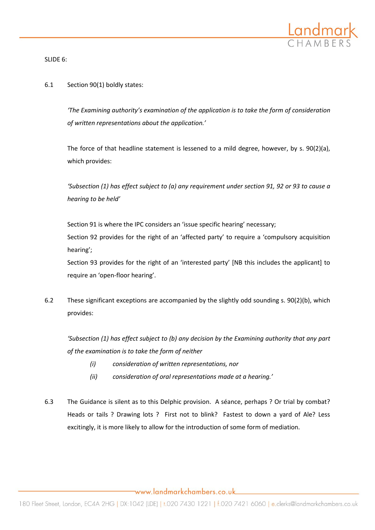

SLIDE 6:

### 6.1 Section 90(1) boldly states:

*'The Examining authority's examination of the application is to take the form of consideration of written representations about the application.'* 

The force of that headline statement is lessened to a mild degree, however, by s. 90(2)(a), which provides:

*'Subsection (1) has effect subject to (a) any requirement under section 91, 92 or 93 to cause a hearing to be held'*

Section 91 is where the IPC considers an 'issue specific hearing' necessary;

Section 92 provides for the right of an 'affected party' to require a 'compulsory acquisition hearing';

Section 93 provides for the right of an 'interested party' [NB this includes the applicant] to require an 'open-floor hearing'.

6.2 These significant exceptions are accompanied by the slightly odd sounding s. 90(2)(b), which provides:

*'Subsection (1) has effect subject to (b) any decision by the Examining authority that any part of the examination is to take the form of neither* 

- *(i) consideration of written representations, nor*
- *(ii) consideration of oral representations made at a hearing.'*
- 6.3 The Guidance is silent as to this Delphic provision. A séance, perhaps ? Or trial by combat? Heads or tails ? Drawing lots ? First not to blink? Fastest to down a yard of Ale? Less excitingly, it is more likely to allow for the introduction of some form of mediation.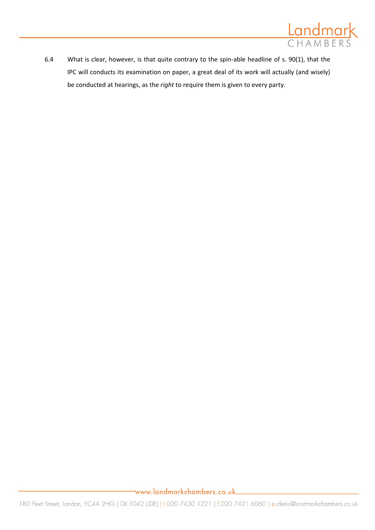

6.4 What is clear, however, is that quite contrary to the spin-able headline of s. 90(1), that the IPC will conducts its examination on paper, a great deal of its work will actually (and wisely) be conducted at hearings, as the *right* to require them is given to every party.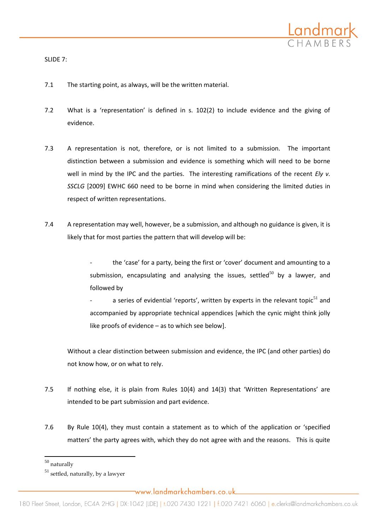

SLIDE 7:

- 7.1 The starting point, as always, will be the written material.
- 7.2 What is a 'representation' is defined in s. 102(2) to include evidence and the giving of evidence.
- 7.3 A representation is not, therefore, or is not limited to a submission. The important distinction between a submission and evidence is something which will need to be borne well in mind by the IPC and the parties. The interesting ramifications of the recent *Ely v. SSCLG* [2009] EWHC 660 need to be borne in mind when considering the limited duties in respect of written representations.
- 7.4 A representation may well, however, be a submission, and although no guidance is given, it is likely that for most parties the pattern that will develop will be:
	- the 'case' for a party, being the first or 'cover' document and amounting to a submission, encapsulating and analysing the issues, settled<sup>50</sup> by a lawyer, and followed by
	- a series of evidential 'reports', written by experts in the relevant topic<sup>51</sup> and accompanied by appropriate technical appendices [which the cynic might think jolly like proofs of evidence – as to which see below].

Without a clear distinction between submission and evidence, the IPC (and other parties) do not know how, or on what to rely.

- 7.5 If nothing else, it is plain from Rules 10(4) and 14(3) that 'Written Representations' are intended to be part submission and part evidence.
- 7.6 By Rule 10(4), they must contain a statement as to which of the application or 'specified matters' the party agrees with, which they do not agree with and the reasons. This is quite

 $\overline{a}$ 

 $^{50}$  naturally

 $51$  settled, naturally, by a lawyer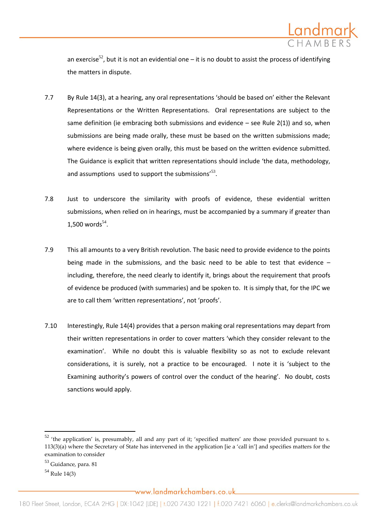

an exercise<sup>52</sup>, but it is not an evidential one – it is no doubt to assist the process of identifying the matters in dispute.

- 7.7 By Rule 14(3), at a hearing, any oral representations 'should be based on' either the Relevant Representations or the Written Representations. Oral representations are subject to the same definition (ie embracing both submissions and evidence  $-$  see Rule 2(1)) and so, when submissions are being made orally, these must be based on the written submissions made; where evidence is being given orally, this must be based on the written evidence submitted. The Guidance is explicit that written representations should include 'the data, methodology, and assumptions used to support the submissions' $^{53}$ .
- 7.8 Just to underscore the similarity with proofs of evidence, these evidential written submissions, when relied on in hearings, must be accompanied by a summary if greater than  $1,500$  words<sup>54</sup>.
- 7.9 This all amounts to a very British revolution. The basic need to provide evidence to the points being made in the submissions, and the basic need to be able to test that evidence – including, therefore, the need clearly to identify it, brings about the requirement that proofs of evidence be produced (with summaries) and be spoken to. It is simply that, for the IPC we are to call them 'written representations', not 'proofs'.
- 7.10 Interestingly, Rule 14(4) provides that a person making oral representations may depart from their written representations in order to cover matters 'which they consider relevant to the examination'. While no doubt this is valuable flexibility so as not to exclude relevant considerations, it is surely, not a practice to be encouraged. I note it is 'subject to the Examining authority's powers of control over the conduct of the hearing'. No doubt, costs sanctions would apply.

 $52$  'the application' is, presumably, all and any part of it; 'specified matters' are those provided pursuant to s.  $113(3)(a)$  where the Secretary of State has intervened in the application [ie a 'call in'] and specifies matters for the examination to consider

<sup>53</sup> Guidance, para. 81

<sup>54</sup> Rule 14(3)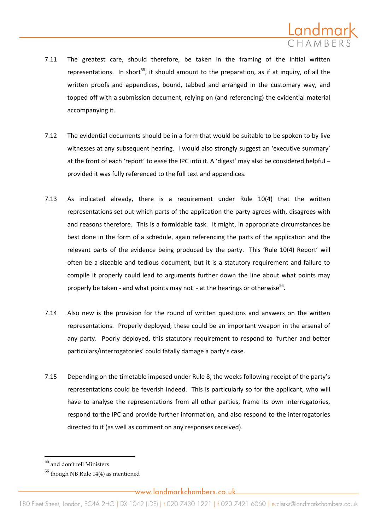

- 7.11 The greatest care, should therefore, be taken in the framing of the initial written representations. In short<sup>55</sup>, it should amount to the preparation, as if at inquiry, of all the written proofs and appendices, bound, tabbed and arranged in the customary way, and topped off with a submission document, relying on (and referencing) the evidential material accompanying it.
- 7.12 The evidential documents should be in a form that would be suitable to be spoken to by live witnesses at any subsequent hearing. I would also strongly suggest an 'executive summary' at the front of each 'report' to ease the IPC into it. A 'digest' may also be considered helpful provided it was fully referenced to the full text and appendices.
- 7.13 As indicated already, there is a requirement under Rule 10(4) that the written representations set out which parts of the application the party agrees with, disagrees with and reasons therefore. This is a formidable task. It might, in appropriate circumstances be best done in the form of a schedule, again referencing the parts of the application and the relevant parts of the evidence being produced by the party. This 'Rule 10(4) Report' will often be a sizeable and tedious document, but it is a statutory requirement and failure to compile it properly could lead to arguments further down the line about what points may properly be taken - and what points may not - at the hearings or otherwise<sup>56</sup>.
- 7.14 Also new is the provision for the round of written questions and answers on the written representations. Properly deployed, these could be an important weapon in the arsenal of any party. Poorly deployed, this statutory requirement to respond to 'further and better particulars/interrogatories' could fatally damage a party's case.
- 7.15 Depending on the timetable imposed under Rule 8, the weeks following receipt of the party's representations could be feverish indeed. This is particularly so for the applicant, who will have to analyse the representations from all other parties, frame its own interrogatories, respond to the IPC and provide further information, and also respond to the interrogatories directed to it (as well as comment on any responses received).

 $\overline{a}$ 

<sup>55</sup> and don't tell Ministers

<sup>56</sup> though NB Rule 14(4) as mentioned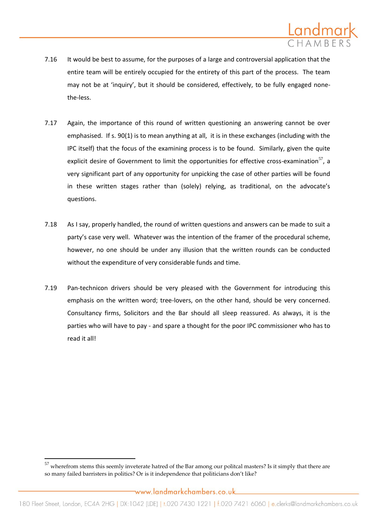

- 7.16 It would be best to assume, for the purposes of a large and controversial application that the entire team will be entirely occupied for the entirety of this part of the process. The team may not be at 'inquiry', but it should be considered, effectively, to be fully engaged nonethe-less.
- 7.17 Again, the importance of this round of written questioning an answering cannot be over emphasised. If s. 90(1) is to mean anything at all, it is in these exchanges (including with the IPC itself) that the focus of the examining process is to be found. Similarly, given the quite explicit desire of Government to limit the opportunities for effective cross-examination $57$ , a very significant part of any opportunity for unpicking the case of other parties will be found in these written stages rather than (solely) relying, as traditional, on the advocate's questions.
- 7.18 As I say, properly handled, the round of written questions and answers can be made to suit a party's case very well. Whatever was the intention of the framer of the procedural scheme, however, no one should be under any illusion that the written rounds can be conducted without the expenditure of very considerable funds and time.
- 7.19 Pan-technicon drivers should be very pleased with the Government for introducing this emphasis on the written word; tree-lovers, on the other hand, should be very concerned. Consultancy firms, Solicitors and the Bar should all sleep reassured. As always, it is the parties who will have to pay - and spare a thought for the poor IPC commissioner who has to read it all!

 $\overline{a}$ 

 $57$  wherefrom stems this seemly inveterate hatred of the Bar among our politcal masters? Is it simply that there are so many failed barristers in politics? Or is it independence that politicians don't like?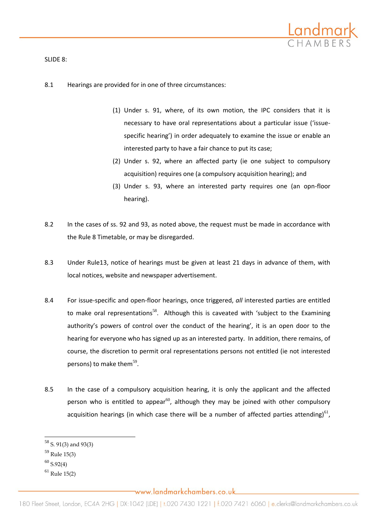

### SLIDE 8:

## 8.1 Hearings are provided for in one of three circumstances:

- (1) Under s. 91, where, of its own motion, the IPC considers that it is necessary to have oral representations about a particular issue ('issuespecific hearing') in order adequately to examine the issue or enable an interested party to have a fair chance to put its case;
- (2) Under s. 92, where an affected party (ie one subject to compulsory acquisition) requires one (a compulsory acquisition hearing); and
- (3) Under s. 93, where an interested party requires one (an opn-floor hearing).
- 8.2 In the cases of ss. 92 and 93, as noted above, the request must be made in accordance with the Rule 8 Timetable, or may be disregarded.
- 8.3 Under Rule13, notice of hearings must be given at least 21 days in advance of them, with local notices, website and newspaper advertisement.
- 8.4 For issue-specific and open-floor hearings, once triggered, *all* interested parties are entitled to make oral representations<sup>58</sup>. Although this is caveated with 'subject to the Examining authority's powers of control over the conduct of the hearing', it is an open door to the hearing for everyone who has signed up as an interested party. In addition, there remains, of course, the discretion to permit oral representations persons not entitled (ie not interested persons) to make them<sup>59</sup>.
- 8.5 In the case of a compulsory acquisition hearing, it is only the applicant and the affected person who is entitled to appear<sup>60</sup>, although they may be joined with other compulsory acquisition hearings (in which case there will be a number of affected parties attending) $^{61}$ ,

 $^{58}$  S. 91(3) and 93(3)

<sup>59</sup> Rule 15(3)

 $60$  S.92(4)

 $61$  Rule 15(2)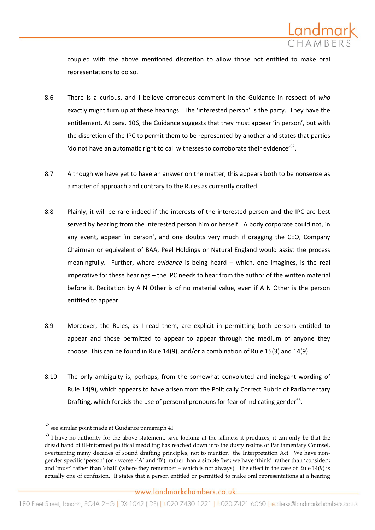

coupled with the above mentioned discretion to allow those not entitled to make oral representations to do so.

- 8.6 There is a curious, and I believe erroneous comment in the Guidance in respect of *who* exactly might turn up at these hearings. The 'interested person' is the party. They have the entitlement. At para. 106, the Guidance suggests that they must appear 'in person', but with the discretion of the IPC to permit them to be represented by another and states that parties 'do not have an automatic right to call witnesses to corroborate their evidence'<sup>62</sup>.
- 8.7 Although we have yet to have an answer on the matter, this appears both to be nonsense as a matter of approach and contrary to the Rules as currently drafted.
- 8.8 Plainly, it will be rare indeed if the interests of the interested person and the IPC are best served by hearing from the interested person him or herself. A body corporate could not, in any event, appear 'in person', and one doubts very much if dragging the CEO, Company Chairman or equivalent of BAA, Peel Holdings or Natural England would assist the process meaningfully. Further, where *evidence* is being heard – which, one imagines, is the real imperative for these hearings – the IPC needs to hear from the author of the written material before it. Recitation by A N Other is of no material value, even if A N Other is the person entitled to appear.
- 8.9 Moreover, the Rules, as I read them, are explicit in permitting both persons entitled to appear and those permitted to appear to appear through the medium of anyone they choose. This can be found in Rule 14(9), and/or a combination of Rule 15(3) and 14(9).
- 8.10 The only ambiguity is, perhaps, from the somewhat convoluted and inelegant wording of Rule 14(9), which appears to have arisen from the Politically Correct Rubric of Parliamentary Drafting, which forbids the use of personal pronouns for fear of indicating gender $^{63}$ .

 $\overline{a}$ 

 $^{62}$ see similar point made at Guidance paragraph 41

 $63$  I have no authority for the above statement, save looking at the silliness it produces; it can only be that the dread hand of ill-informed political meddling has reached down into the dusty realms of Parliamentary Counsel, overturning many decades of sound drafting principles, not to mention the Interpretation Act. We have nongender specific 'person' (or - worse -'A' and 'B') rather than a simple 'he'; we have 'think' rather than 'consider'; and 'must' rather than 'shall' (where they remember – which is not always). The effect in the case of Rule 14(9) is actually one of confusion. It states that a person entitled or permitted to make oral representations at a hearing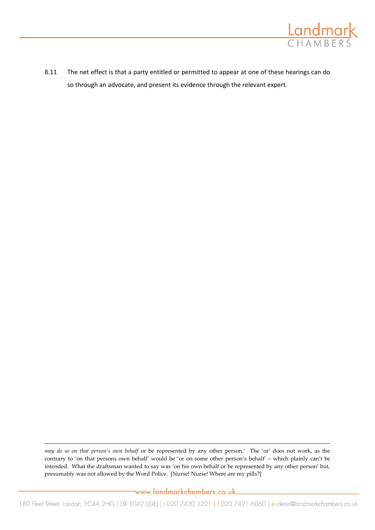

8.11 The net effect is that a party entitled or permitted to appear at one of these hearings can do so through an advocate, and present its evidence through the relevant expert.

*may do so on that person's own behalf* or be represented by any other person.' The 'or' does not work, as the contrary to 'on that persons own behalf' would be 'or on some other person's behalf' – which plainly can't be intended. What the draftsman wanted to say was 'on his own behalf or be represented by any other person' but, presumably was not allowed by the Word Police. [Nurse! Nurse! Where are my pills?]

 $\overline{a}$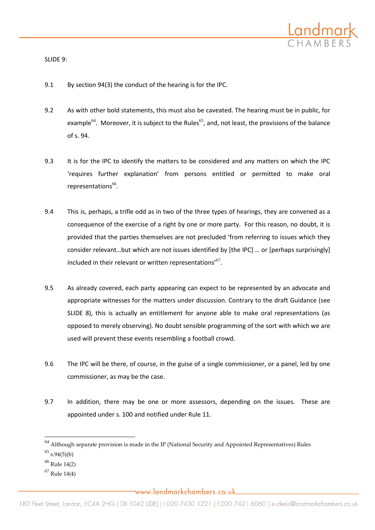

SLIDE 9:

- 9.1 By section 94(3) the conduct of the hearing is for the IPC.
- 9.2 As with other bold statements, this must also be caveated. The hearing must be in public, for example<sup>64</sup>. Moreover, it is subject to the Rules<sup>65</sup>, and, not least, the provisions of the balance of s. 94.
- 9.3 It is for the IPC to identify the matters to be considered and any matters on which the IPC 'requires further explanation' from persons entitled or permitted to make oral representations<sup>66</sup>.
- 9.4 This is, perhaps, a trifle odd as in two of the three types of hearings, they are convened as a consequence of the exercise of a right by one or more party. For this reason, no doubt, it is provided that the parties themselves are not precluded 'from referring to issues which they consider relevant…but which are not issues identified by  $[the IPC]$  ... or  $[perhaps surprisingly]$ included in their relevant or written representations'<sup>67</sup>.
- 9.5 As already covered, each party appearing can expect to be represented by an advocate and appropriate witnesses for the matters under discussion. Contrary to the draft Guidance (see SLIDE 8), this is actually an entitlement for anyone able to make oral representations (as opposed to merely observing). No doubt sensible programming of the sort with which we are used will prevent these events resembling a football crowd.
- 9.6 The IPC will be there, of course, in the guise of a single commissioner, or a panel, led by one commissioner, as may be the case.
- 9.7 In addition, there may be one or more assessors, depending on the issues. These are appointed under s. 100 and notified under Rule 11.

 $64$  Although separate provision is made in the IP (National Security and Appointed Representatives) Rules

 $65$  s.94(5)(b)

 $66$  Rule 14(2)

 $67$  Rule 14(4)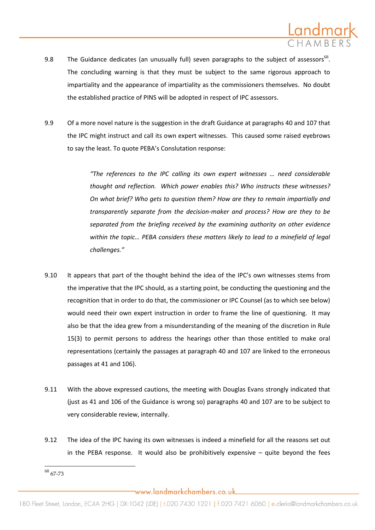

- 9.8 The Guidance dedicates (an unusually full) seven paragraphs to the subject of assessors<sup>68</sup>. The concluding warning is that they must be subject to the same rigorous approach to impartiality and the appearance of impartiality as the commissioners themselves. No doubt the established practice of PINS will be adopted in respect of IPC assessors.
- 9.9 Of a more novel nature is the suggestion in the draft Guidance at paragraphs 40 and 107 that the IPC might instruct and call its own expert witnesses. This caused some raised eyebrows to say the least. To quote PEBA's Conslutation response:

*"The references to the IPC calling its own expert witnesses … need considerable thought and reflection. Which power enables this? Who instructs these witnesses? On what brief? Who gets to question them? How are they to remain impartially and transparently separate from the decision-maker and process? How are they to be separated from the briefing received by the examining authority on other evidence within the topic… PEBA considers these matters likely to lead to a minefield of legal challenges."*

- 9.10 It appears that part of the thought behind the idea of the IPC's own witnesses stems from the imperative that the IPC should, as a starting point, be conducting the questioning and the recognition that in order to do that, the commissioner or IPC Counsel (as to which see below) would need their own expert instruction in order to frame the line of questioning. It may also be that the idea grew from a misunderstanding of the meaning of the discretion in Rule 15(3) to permit persons to address the hearings other than those entitled to make oral representations (certainly the passages at paragraph 40 and 107 are linked to the erroneous passages at 41 and 106).
- 9.11 With the above expressed cautions, the meeting with Douglas Evans strongly indicated that (just as 41 and 106 of the Guidance is wrong so) paragraphs 40 and 107 are to be subject to very considerable review, internally.
- 9.12 The idea of the IPC having its own witnesses is indeed a minefield for all the reasons set out in the PEBA response. It would also be prohibitively expensive  $-$  quite beyond the fees

 $\overline{\phantom{a}}$  $^{68}$  67-73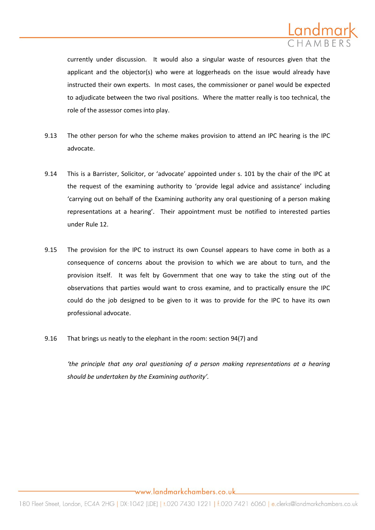

currently under discussion. It would also a singular waste of resources given that the applicant and the objector(s) who were at loggerheads on the issue would already have instructed their own experts. In most cases, the commissioner or panel would be expected to adjudicate between the two rival positions. Where the matter really is too technical, the role of the assessor comes into play.

- 9.13 The other person for who the scheme makes provision to attend an IPC hearing is the IPC advocate.
- 9.14 This is a Barrister, Solicitor, or 'advocate' appointed under s. 101 by the chair of the IPC at the request of the examining authority to 'provide legal advice and assistance' including 'carrying out on behalf of the Examining authority any oral questioning of a person making representations at a hearing'. Their appointment must be notified to interested parties under Rule 12.
- 9.15 The provision for the IPC to instruct its own Counsel appears to have come in both as a consequence of concerns about the provision to which we are about to turn, and the provision itself. It was felt by Government that one way to take the sting out of the observations that parties would want to cross examine, and to practically ensure the IPC could do the job designed to be given to it was to provide for the IPC to have its own professional advocate.
- 9.16 That brings us neatly to the elephant in the room: section 94(7) and

*'the principle that any oral questioning of a person making representations at a hearing should be undertaken by the Examining authority'.*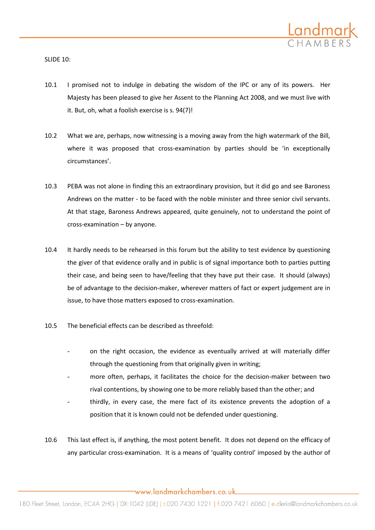

SLIDE 10:

- 10.1 I promised not to indulge in debating the wisdom of the IPC or any of its powers. Her Majesty has been pleased to give her Assent to the Planning Act 2008, and we must live with it. But, oh, what a foolish exercise is s. 94(7)!
- 10.2 What we are, perhaps, now witnessing is a moving away from the high watermark of the Bill, where it was proposed that cross-examination by parties should be 'in exceptionally circumstances'.
- 10.3 PEBA was not alone in finding this an extraordinary provision, but it did go and see Baroness Andrews on the matter - to be faced with the noble minister and three senior civil servants. At that stage, Baroness Andrews appeared, quite genuinely, not to understand the point of cross-examination – by anyone.
- 10.4 It hardly needs to be rehearsed in this forum but the ability to test evidence by questioning the giver of that evidence orally and in public is of signal importance both to parties putting their case, and being seen to have/feeling that they have put their case. It should (always) be of advantage to the decision-maker, wherever matters of fact or expert judgement are in issue, to have those matters exposed to cross-examination.
- 10.5 The beneficial effects can be described as threefold:
	- on the right occasion, the evidence as eventually arrived at will materially differ through the questioning from that originally given in writing;
	- more often, perhaps, it facilitates the choice for the decision-maker between two rival contentions, by showing one to be more reliably based than the other; and
	- thirdly, in every case, the mere fact of its existence prevents the adoption of a position that it is known could not be defended under questioning.
- 10.6 This last effect is, if anything, the most potent benefit. It does not depend on the efficacy of any particular cross-examination. It is a means of 'quality control' imposed by the author of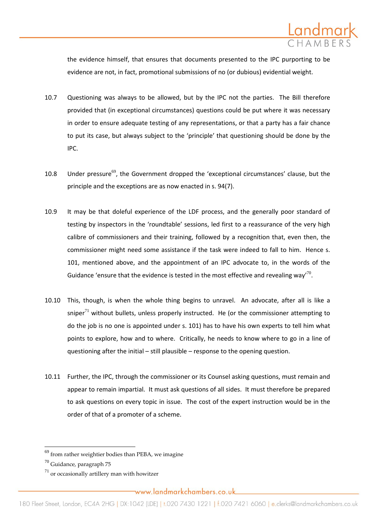

the evidence himself, that ensures that documents presented to the IPC purporting to be evidence are not, in fact, promotional submissions of no (or dubious) evidential weight.

- 10.7 Questioning was always to be allowed, but by the IPC not the parties. The Bill therefore provided that (in exceptional circumstances) questions could be put where it was necessary in order to ensure adequate testing of any representations, or that a party has a fair chance to put its case, but always subject to the 'principle' that questioning should be done by the IPC.
- 10.8 Under pressure<sup>69</sup>, the Government dropped the 'exceptional circumstances' clause, but the principle and the exceptions are as now enacted in s. 94(7).
- 10.9 It may be that doleful experience of the LDF process, and the generally poor standard of testing by inspectors in the 'roundtable' sessions, led first to a reassurance of the very high calibre of commissioners and their training, followed by a recognition that, even then, the commissioner might need some assistance if the task were indeed to fall to him. Hence s. 101, mentioned above, and the appointment of an IPC advocate to, in the words of the Guidance 'ensure that the evidence is tested in the most effective and revealing way'<sup>70</sup>.
- 10.10 This, though, is when the whole thing begins to unravel. An advocate, after all is like a sniper<sup>71</sup> without bullets, unless properly instructed. He (or the commissioner attempting to do the job is no one is appointed under s. 101) has to have his own experts to tell him what points to explore, how and to where. Critically, he needs to know where to go in a line of questioning after the initial – still plausible – response to the opening question.
- 10.11 Further, the IPC, through the commissioner or its Counsel asking questions, must remain and appear to remain impartial. It must ask questions of all sides. It must therefore be prepared to ask questions on every topic in issue. The cost of the expert instruction would be in the order of that of a promoter of a scheme.

 $69$  from rather weightier bodies than PEBA, we imagine

<sup>70</sup> Guidance, paragraph 75

 $^{71}$  or occasionally artillery man with howitzer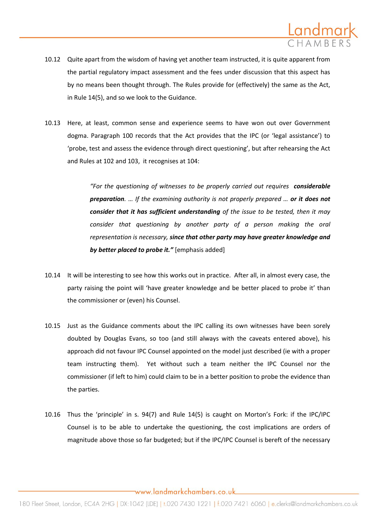

- 10.12 Quite apart from the wisdom of having yet another team instructed, it is quite apparent from the partial regulatory impact assessment and the fees under discussion that this aspect has by no means been thought through. The Rules provide for (effectively) the same as the Act, in Rule 14(5), and so we look to the Guidance.
- 10.13 Here, at least, common sense and experience seems to have won out over Government dogma. Paragraph 100 records that the Act provides that the IPC (or 'legal assistance') to 'probe, test and assess the evidence through direct questioning', but after rehearsing the Act and Rules at 102 and 103, it recognises at 104:

*"For the questioning of witnesses to be properly carried out requires considerable preparation. … If the examining authority is not properly prepared … or it does not consider that it has sufficient understanding of the issue to be tested, then it may consider that questioning by another party of a person making the oral representation is necessary, since that other party may have greater knowledge and by better placed to probe it."* [emphasis added]

- 10.14 It will be interesting to see how this works out in practice. After all, in almost every case, the party raising the point will 'have greater knowledge and be better placed to probe it' than the commissioner or (even) his Counsel.
- 10.15 Just as the Guidance comments about the IPC calling its own witnesses have been sorely doubted by Douglas Evans, so too (and still always with the caveats entered above), his approach did not favour IPC Counsel appointed on the model just described (ie with a proper team instructing them). Yet without such a team neither the IPC Counsel nor the commissioner (if left to him) could claim to be in a better position to probe the evidence than the parties.
- 10.16 Thus the 'principle' in s. 94(7) and Rule 14(5) is caught on Morton's Fork: if the IPC/IPC Counsel is to be able to undertake the questioning, the cost implications are orders of magnitude above those so far budgeted; but if the IPC/IPC Counsel is bereft of the necessary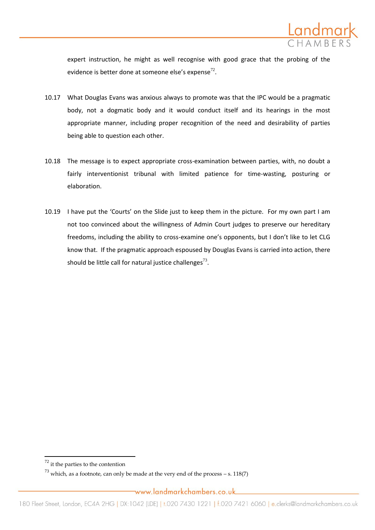

expert instruction, he might as well recognise with good grace that the probing of the evidence is better done at someone else's expense $^{72}$ .

- 10.17 What Douglas Evans was anxious always to promote was that the IPC would be a pragmatic body, not a dogmatic body and it would conduct itself and its hearings in the most appropriate manner, including proper recognition of the need and desirability of parties being able to question each other.
- 10.18 The message is to expect appropriate cross-examination between parties, with, no doubt a fairly interventionist tribunal with limited patience for time-wasting, posturing or elaboration.
- 10.19 I have put the 'Courts' on the Slide just to keep them in the picture. For my own part I am not too convinced about the willingness of Admin Court judges to preserve our hereditary freedoms, including the ability to cross-examine one's opponents, but I don't like to let CLG know that. If the pragmatic approach espoused by Douglas Evans is carried into action, there should be little call for natural justice challenges $^{73}$ .

 $\overline{a}$ 

 $^{72}$  it the parties to the contention

 $^{73}$  which, as a footnote, can only be made at the very end of the process – s. 118(7)

www.landmarkchambers.co.uk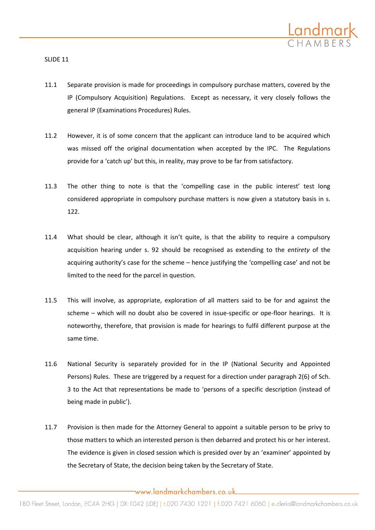

SLIDE 11

- 11.1 Separate provision is made for proceedings in compulsory purchase matters, covered by the IP (Compulsory Acquisition) Regulations. Except as necessary, it very closely follows the general IP (Examinations Procedures) Rules.
- 11.2 However, it is of some concern that the applicant can introduce land to be acquired which was missed off the original documentation when accepted by the IPC. The Regulations provide for a 'catch up' but this, in reality, may prove to be far from satisfactory.
- 11.3 The other thing to note is that the 'compelling case in the public interest' test long considered appropriate in compulsory purchase matters is now given a statutory basis in s. 122.
- 11.4 What should be clear, although it isn't quite, is that the ability to require a compulsory acquisition hearing under s. 92 should be recognised as extending to the *entirety* of the acquiring authority's case for the scheme – hence justifying the 'compelling case' and not be limited to the need for the parcel in question.
- 11.5 This will involve, as appropriate, exploration of all matters said to be for and against the scheme – which will no doubt also be covered in issue-specific or ope-floor hearings. It is noteworthy, therefore, that provision is made for hearings to fulfil different purpose at the same time.
- 11.6 National Security is separately provided for in the IP (National Security and Appointed Persons) Rules. These are triggered by a request for a direction under paragraph 2(6) of Sch. 3 to the Act that representations be made to 'persons of a specific description (instead of being made in public').
- 11.7 Provision is then made for the Attorney General to appoint a suitable person to be privy to those matters to which an interested person is then debarred and protect his or her interest. The evidence is given in closed session which is presided over by an 'examiner' appointed by the Secretary of State, the decision being taken by the Secretary of State.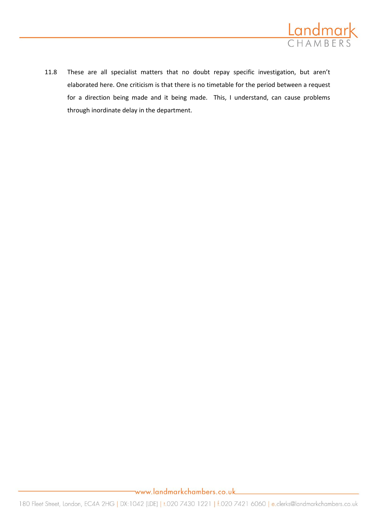

11.8 These are all specialist matters that no doubt repay specific investigation, but aren't elaborated here. One criticism is that there is no timetable for the period between a request for a direction being made and it being made. This, I understand, can cause problems through inordinate delay in the department.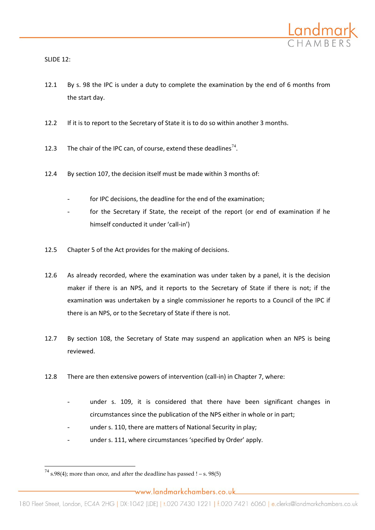

SLIDE 12:

- 12.1 By s. 98 the IPC is under a duty to complete the examination by the end of 6 months from the start day.
- 12.2 If it is to report to the Secretary of State it is to do so within another 3 months.
- 12.3 The chair of the IPC can, of course, extend these deadlines<sup>74</sup>.
- 12.4 By section 107, the decision itself must be made within 3 months of:
	- for IPC decisions, the deadline for the end of the examination;
	- for the Secretary if State, the receipt of the report (or end of examination if he himself conducted it under 'call-in')
- 12.5 Chapter 5 of the Act provides for the making of decisions.
- 12.6 As already recorded, where the examination was under taken by a panel, it is the decision maker if there is an NPS, and it reports to the Secretary of State if there is not; if the examination was undertaken by a single commissioner he reports to a Council of the IPC if there is an NPS, or to the Secretary of State if there is not.
- 12.7 By section 108, the Secretary of State may suspend an application when an NPS is being reviewed.
- 12.8 There are then extensive powers of intervention (call-in) in Chapter 7, where:
	- under s. 109, it is considered that there have been significant changes in circumstances since the publication of the NPS either in whole or in part;
	- under s. 110, there are matters of National Security in play;
	- under s. 111, where circumstances 'specified by Order' apply.

 $^{74}$  s.98(4); more than once, and after the deadline has passed ! – s. 98(5)